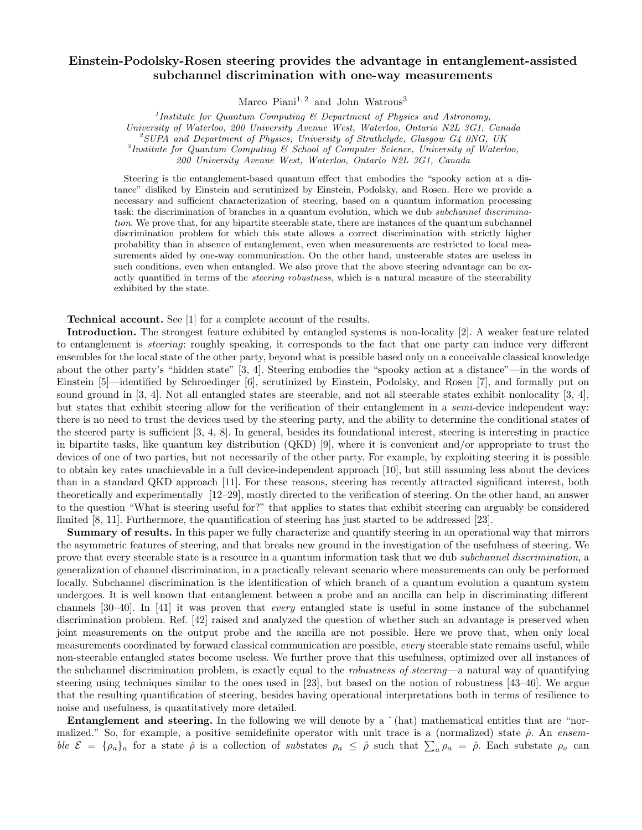## Einstein-Podolsky-Rosen steering provides the advantage in entanglement-assisted subchannel discrimination with one-way measurements

Marco Piani $^{1, 2}$  and John Watrous<sup>3</sup>

<sup>1</sup>Institute for Quantum Computing  $\mathcal{C}$  Department of Physics and Astronomy,

University of Waterloo, 200 University Avenue West, Waterloo, Ontario N2L 3G1, Canada

 $^2$ SUPA and Department of Physics, University of Strathclyde, Glasgow G4 0NG, UK

3 Institute for Quantum Computing & School of Computer Science, University of Waterloo,

200 University Avenue West, Waterloo, Ontario N2L 3G1, Canada

Steering is the entanglement-based quantum effect that embodies the "spooky action at a distance" disliked by Einstein and scrutinized by Einstein, Podolsky, and Rosen. Here we provide a necessary and sufficient characterization of steering, based on a quantum information processing task: the discrimination of branches in a quantum evolution, which we dub subchannel discrimination. We prove that, for any bipartite steerable state, there are instances of the quantum subchannel discrimination problem for which this state allows a correct discrimination with strictly higher probability than in absence of entanglement, even when measurements are restricted to local measurements aided by one-way communication. On the other hand, unsteerable states are useless in such conditions, even when entangled. We also prove that the above steering advantage can be exactly quantified in terms of the *steering robustness*, which is a natural measure of the steerability exhibited by the state.

Technical account. See [1] for a complete account of the results.

Introduction. The strongest feature exhibited by entangled systems is non-locality [2]. A weaker feature related to entanglement is steering: roughly speaking, it corresponds to the fact that one party can induce very different ensembles for the local state of the other party, beyond what is possible based only on a conceivable classical knowledge about the other party's "hidden state" [3, 4]. Steering embodies the "spooky action at a distance"—in the words of Einstein [5]—identified by Schroedinger [6], scrutinized by Einstein, Podolsky, and Rosen [7], and formally put on sound ground in [3, 4]. Not all entangled states are steerable, and not all steerable states exhibit nonlocality [3, 4], but states that exhibit steering allow for the verification of their entanglement in a semi-device independent way: there is no need to trust the devices used by the steering party, and the ability to determine the conditional states of the steered party is sufficient [3, 4, 8]. In general, besides its foundational interest, steering is interesting in practice in bipartite tasks, like quantum key distribution (QKD) [9], where it is convenient and/or appropriate to trust the devices of one of two parties, but not necessarily of the other party. For example, by exploiting steering it is possible to obtain key rates unachievable in a full device-independent approach [10], but still assuming less about the devices than in a standard QKD approach [11]. For these reasons, steering has recently attracted significant interest, both theoretically and experimentally [12–29], mostly directed to the verification of steering. On the other hand, an answer to the question "What is steering useful for?" that applies to states that exhibit steering can arguably be considered limited [8, 11]. Furthermore, the quantification of steering has just started to be addressed [23].

Summary of results. In this paper we fully characterize and quantify steering in an operational way that mirrors the asymmetric features of steering, and that breaks new ground in the investigation of the usefulness of steering. We prove that every steerable state is a resource in a quantum information task that we dub subchannel discrimination, a generalization of channel discrimination, in a practically relevant scenario where measurements can only be performed locally. Subchannel discrimination is the identification of which branch of a quantum evolution a quantum system undergoes. It is well known that entanglement between a probe and an ancilla can help in discriminating different channels [30–40]. In [41] it was proven that every entangled state is useful in some instance of the subchannel discrimination problem. Ref. [42] raised and analyzed the question of whether such an advantage is preserved when joint measurements on the output probe and the ancilla are not possible. Here we prove that, when only local measurements coordinated by forward classical communication are possible, every steerable state remains useful, while non-steerable entangled states become useless. We further prove that this usefulness, optimized over all instances of the subchannel discrimination problem, is exactly equal to the *robustness of steering*—a natural way of quantifying steering using techniques similar to the ones used in [23], but based on the notion of robustness [43–46]. We argue that the resulting quantification of steering, besides having operational interpretations both in terms of resilience to noise and usefulness, is quantitatively more detailed.

**Entanglement and steering.** In the following we will denote by a  $\hat{ }$  (hat) mathematical entities that are "normalized." So, for example, a positive semidefinite operator with unit trace is a (normalized) state  $\hat{\rho}$ . An ensemble  $\mathcal{E} = {\rho_a}_a$  for a state  $\hat{\rho}$  is a collection of substates  $\rho_a \leq \hat{\rho}$  such that  $\sum_a \rho_a = \hat{\rho}$ . Each substate  $\rho_a$  can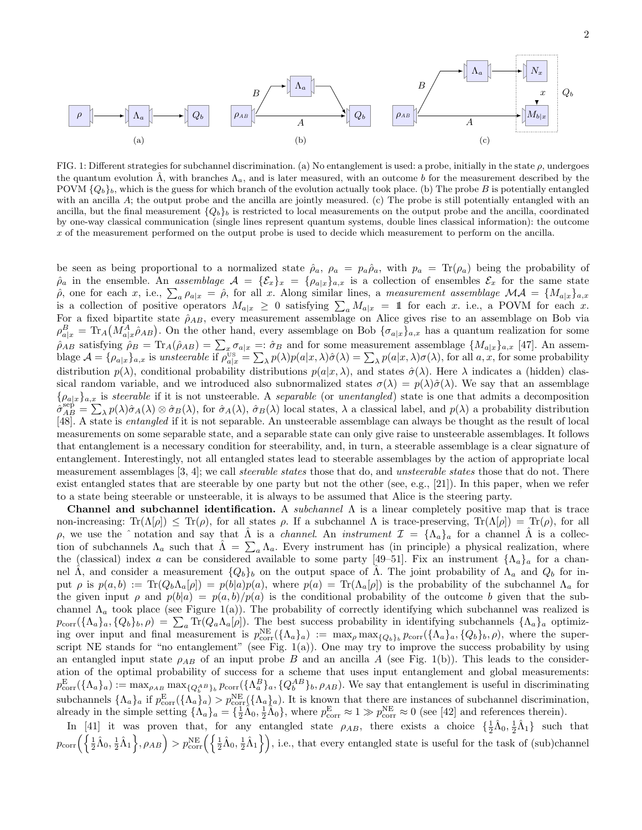

FIG. 1: Different strategies for subchannel discrimination. (a) No entanglement is used: a probe, initially in the state  $\rho$ , undergoes the quantum evolution  $\hat{\Lambda}$ , with branches  $\Lambda_a$ , and is later measured, with an outcome b for the measurement described by the POVM  $\{Q_b\}_b$ , which is the guess for which branch of the evolution actually took place. (b) The probe B is potentially entangled with an ancilla A; the output probe and the ancilla are jointly measured. (c) The probe is still potentially entangled with an ancilla, but the final measurement  ${Q_b}_b$  is restricted to local measurements on the output probe and the ancilla, coordinated by one-way classical communication (single lines represent quantum systems, double lines classical information): the outcome x of the measurement performed on the output probe is used to decide which measurement to perform on the ancilla.

be seen as being proportional to a normalized state  $\hat{\rho}_a$ ,  $\rho_a = p_a \hat{\rho}_a$ , with  $p_a = \text{Tr}(\rho_a)$  being the probability of  $\rho_a$  in the ensemble. An assemblage  $\mathcal{A} = {\mathcal{E}_x}_x = {\rho_a}_x_a$  is a collection of ensembles  $\mathcal{E}_x$  for the same state  $\hat{\rho}$ , one for each x, i.e.,  $\sum_a \rho_{a|x} = \hat{\rho}$ , for all x. Along similar lines, a measurement assemblage  $\mathcal{MA} = \{M_{a|x}\}_{a,x}$ is a collection of positive operators  $M_{a|x} \geq 0$  satisfying  $\sum_a M_{a|x} = 11$  for each x. i.e., a POVM for each x. For a fixed bipartite state  $\hat{\rho}_{AB}$ , every measurement assemblage on Alice gives rise to an assemblage on Bob via  $\rho_{a|x}^B = \text{Tr}_A\big(M_{a|x}^A\hat{\rho}_{AB}\big)$ . On the other hand, every assemblage on Bob  $\{\sigma_{a|x}\}_{a,x}$  has a quantum realization for some  $\rho_{AB}$  satisfying  $\rho_B = \text{Tr}_A(\hat{\rho}_{AB}) = \sum_x \sigma_{a|x} =: \hat{\sigma}_B$  and for some measurement assemblage  $\{M_{a|x}\}_{a,x}$  [47]. An assemblage  $\mathcal{A} = \{\rho_{a|x}\}_{a,x}$  is unsteerable if  $\rho_{a|x}^{\text{US}} = \sum_{\lambda} p(\lambda)p(a|x,\lambda)\hat{\sigma}(\lambda) = \sum_{\lambda} p(a|x,\lambda)\sigma(\lambda)$ , for all  $a, x$ , for some probability distribution  $p(\lambda)$ , conditional probability distributions  $p(a|x, \lambda)$ , and states  $\hat{\sigma}(\lambda)$ . Here  $\lambda$  indicates a (hidden) classical random variable, and we introduced also subnormalized states  $\sigma(\lambda) = p(\lambda)\hat{\sigma}(\lambda)$ . We say that an assemblage  $\{\rho_{a|x}\}_{a,x}$  is steerable if it is not unsteerable. A separable (or unentangled) state is one that admits a decomposition  $\hat{\sigma}_{AB}^{\text{sep}} = \sum_{\lambda} p(\lambda) \hat{\sigma}_A(\lambda) \otimes \hat{\sigma}_B(\lambda)$ , for  $\hat{\sigma}_A(\lambda)$ ,  $\hat{\sigma}_B(\lambda)$  local states,  $\lambda$  a classical label, and  $p(\lambda)$  a probability distribution [48]. A state is entangled if it is not separable. An unsteerable assemblage can always be thought as the result of local measurements on some separable state, and a separable state can only give raise to unsteerable assemblages. It follows that entanglement is a necessary condition for steerability, and, in turn, a steerable assemblage is a clear signature of entanglement. Interestingly, not all entangled states lead to steerable assemblages by the action of appropriate local measurement assemblages [3, 4]; we call *steerable states* those that do, and *unsteerable states* those that do not. There exist entangled states that are steerable by one party but not the other (see, e.g.,  $[21]$ ). In this paper, when we refer to a state being steerable or unsteerable, it is always to be assumed that Alice is the steering party.

Channel and subchannel identification. A *subchannel*  $\Lambda$  is a linear completely positive map that is trace non-increasing:  $Tr(\Lambda[\rho]) \leq Tr(\rho)$ , for all states  $\rho$ . If a subchannel  $\Lambda$  is trace-preserving,  $Tr(\Lambda[\rho]) = Tr(\rho)$ , for all ρ, we use the  $\hat{ }$  notation and say that  $\hat{A}$  is a *channel.* An *instrument*  $\mathcal{I} = {\Lambda_a}$  for a channel  $\hat{A}$  is a collection of subchannels  $\Lambda_a$  such that  $\hat{\Lambda} = \sum_a \Lambda_a$ . Every instrument has (in principle) a physical realization, where the (classical) index a can be considered available to some party [49–51]. Fix an instrument  $\{\Lambda_a\}_a$  for a channel  $\hat{\Lambda}$ , and consider a measurement  $\{Q_b\}_b$  on the output space of  $\hat{\Lambda}$ . The joint probability of  $\Lambda_a$  and  $Q_b$  for input  $\rho$  is  $p(a, b) := \text{Tr}(Q_b \Lambda_a[\rho]) = p(b|a)p(a)$ , where  $p(a) = \text{Tr}(\Lambda_a[\rho])$  is the probability of the subchannel  $\Lambda_a$  for the given input  $\rho$  and  $p(b|a) = p(a, b)/p(a)$  is the conditional probability of the outcome b given that the subchannel  $\Lambda_a$  took place (see Figure 1(a)). The probability of correctly identifying which subchannel was realized is  $p_{\text{corr}}(\{\Lambda_a\}_a, \{Q_b\}_b, \rho) = \sum_a \text{Tr}(Q_a \Lambda_a[\rho])$ . The best success probability in identifying subchannels  $\{\Lambda_a\}_a$  optimizing over input and final measurement is  $p_{\text{corr}}^{\text{NE}}(\{\Lambda_a\}_a) := \max_{\rho} \max_{\{Q_b\}_b} p_{\text{corr}}(\{\Lambda_a\}_a, \{Q_b\}_b, \rho)$ , where the superscript NE stands for "no entanglement" (see Fig. 1(a)). One may try to improve the success probability by using an entangled input state  $\rho_{AB}$  of an input probe B and an ancilla A (see Fig. 1(b)). This leads to the consideration of the optimal probability of success for a scheme that uses input entanglement and global measurements:  $p_{\text{corr}}^{\text{E}}(\{\Lambda_a\}_a) := \max_{\rho_{AB}} \max_{\{Q_b^{AB}\}_b} p_{\text{corr}}(\{\Lambda_a^B\}_a, \{Q_b^{AB}\}_b, \rho_{AB})$ . We say that entanglement is useful in discriminating subchannels  $\{\Lambda_a\}_a$  if  $p_{\text{corr}}^{\text{E}}(\{\Lambda_a\}_a) > p_{\text{corr}}^{\text{NE}}(\{\Lambda_a\}_a)$ . It is known that there are instances of subchannel discrimination, already in the simple setting  $\{\Lambda_a\}_a = \{\frac{1}{2}\hat{\Lambda}_0, \frac{1}{2}\hat{\Lambda}_0\}$ , where  $p_{\text{corr}}^{\text{E}} \approx 1 \gg p_{\text{corr}}^{\text{NE}} \approx 0$  (see [42] and references therein).

In [41] it was proven that, for any entangled state  $\rho_{AB}$ , there exists a choice  $\{\frac{1}{2}\hat{\Lambda}_0, \frac{1}{2}\hat{\Lambda}_1\}$  such that  $p_{\text{corr}}\left(\left\{\frac{1}{2}\hat{\Lambda}_0, \frac{1}{2}\hat{\Lambda}_1\right\}, \rho_{AB}\right) > p_{\text{corr}}^{\text{NE}}\left(\left\{\frac{1}{2}\hat{\Lambda}_0, \frac{1}{2}\hat{\Lambda}_1\right\}\right)$ , i.e., that every entangled state is useful for the task of (sub)channel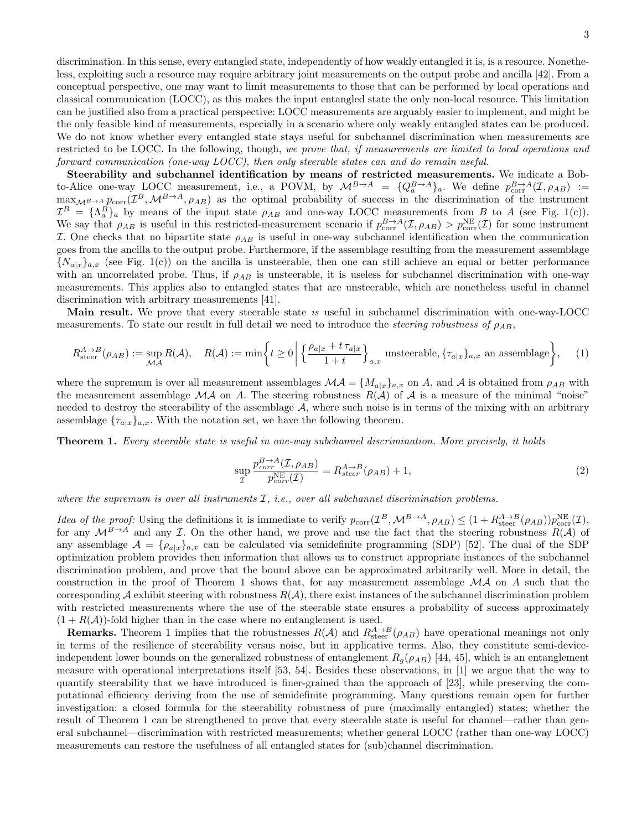discrimination. In this sense, every entangled state, independently of how weakly entangled it is, is a resource. Nonetheless, exploiting such a resource may require arbitrary joint measurements on the output probe and ancilla [42]. From a conceptual perspective, one may want to limit measurements to those that can be performed by local operations and classical communication (LOCC), as this makes the input entangled state the only non-local resource. This limitation can be justified also from a practical perspective: LOCC measurements are arguably easier to implement, and might be the only feasible kind of measurements, especially in a scenario where only weakly entangled states can be produced. We do not know whether every entangled state stays useful for subchannel discrimination when measurements are restricted to be LOCC. In the following, though, we prove that, if measurements are limited to local operations and forward communication (one-way LOCC), then only steerable states can and do remain useful.

Steerability and subchannel identification by means of restricted measurements. We indicate a Bobto-Alice one-way LOCC measurement, i.e., a POVM, by  $\mathcal{M}^{B\to A} = \{Q_a^{B\to A}\}_a$ . We define  $p_{\text{corr}}^{B\to A}(\mathcal{I}, \rho_{AB}) :=$  $\max_{\mathcal{M}^B\to A} p_{\text{corr}}(\mathcal{I}^B, \mathcal{M}^{B\to A}, \rho_{AB})$  as the optimal probability of success in the discrimination of the instrument  $\mathcal{I}^B = {\Lambda_a^B}_a$  by means of the input state  $\rho_{AB}$  and one-way LOCC measurements from B to A (see Fig. 1(c)). We say that  $\rho_{AB}$  is useful in this restricted-measurement scenario if  $p_{\text{corr}}^{B\to A}(\mathcal{I}, \rho_{AB}) > p_{\text{corr}}^{NE}(\mathcal{I})$  for some instrument I. One checks that no bipartite state  $ρ<sub>AB</sub>$  is useful in one-way subchannel identification when the communication goes from the ancilla to the output probe. Furthermore, if the assemblage resulting from the measurement assemblage  $\{N_{a|x}\}_{a,x}$  (see Fig. 1(c)) on the ancilla is unsteerable, then one can still achieve an equal or better performance with an uncorrelated probe. Thus, if  $\rho_{AB}$  is unsteerable, it is useless for subchannel discrimination with one-way measurements. This applies also to entangled states that are unsteerable, which are nonetheless useful in channel discrimination with arbitrary measurements [41].

Main result. We prove that every steerable state is useful in subchannel discrimination with one-way-LOCC measurements. To state our result in full detail we need to introduce the *steering robustness of*  $\rho_{AB}$ ,

$$
R_{\text{steer}}^{A \to B}(\rho_{AB}) := \sup_{\mathcal{M}A} R(\mathcal{A}), \quad R(\mathcal{A}) := \min \left\{ t \ge 0 \, \middle| \, \left\{ \frac{\rho_{a|x} + t \, \tau_{a|x}}{1 + t} \right\}_{a,x} \text{ unsteerable}, \{\tau_{a|x}\}_{a,x} \text{ an assemblage} \right\}, \tag{1}
$$

where the supremum is over all measurement assemblages  $\mathcal{MA} = \{M_{a|x}\}_{a,x}$  on A, and A is obtained from  $\rho_{AB}$  with the measurement assemblage  ${\cal MA}$  on A. The steering robustness  $R(\mathcal{A})$  of  $\mathcal{A}$  is a measure of the minimal "noise" needed to destroy the steerability of the assemblage  $A$ , where such noise is in terms of the mixing with an arbitrary assemblage  ${\tau_{a|x}}_{a,x}$ . With the notation set, we have the following theorem.

Theorem 1. Every steerable state is useful in one-way subchannel discrimination. More precisely, it holds

$$
\sup_{\mathcal{I}} \frac{p_{corr}^{B \to A}(\mathcal{I}, \rho_{AB})}{p_{corr}^{NE}(\mathcal{I})} = R_{steer}^{A \to B}(\rho_{AB}) + 1,\tag{2}
$$

where the supremum is over all instruments  $I$ , i.e., over all subchannel discrimination problems.

*Idea of the proof:* Using the definitions it is immediate to verify  $p_{\text{corr}}(\mathcal{I}^B, \mathcal{M}^{B\to A}, \rho_{AB}) \leq (1 + R_{\text{steer}}^{A\to B}(\rho_{AB}))p_{\text{corr}}^{\text{NE}}(\mathcal{I}),$ for any  $\mathcal{M}^{B\to A}$  and any  $\mathcal I$ . On the other hand, we prove and use the fact that the steering robustness  $R(\mathcal A)$  of any assemblage  $\mathcal{A} = \{\rho_{a|x}\}_{a,x}$  can be calculated via semidefinite programming (SDP) [52]. The dual of the SDP optimization problem provides then information that allows us to construct appropriate instances of the subchannel discrimination problem, and prove that the bound above can be approximated arbitrarily well. More in detail, the construction in the proof of Theorem 1 shows that, for any measurement assemblage  ${\cal MA}$  on A such that the corresponding A exhibit steering with robustness  $R(\mathcal{A})$ , there exist instances of the subchannel discrimination problem with restricted measurements where the use of the steerable state ensures a probability of success approximately  $(1 + R(\mathcal{A}))$ -fold higher than in the case where no entanglement is used.

**Remarks.** Theorem 1 implies that the robustnesses  $R(A)$  and  $R_{\text{steer}}^{A\to B}(\rho_{AB})$  have operational meanings not only in terms of the resilience of steerability versus noise, but in applicative terms. Also, they constitute semi-deviceindependent lower bounds on the generalized robustness of entanglement  $R_q(\rho_{AB})$  [44, 45], which is an entanglement measure with operational interpretations itself [53, 54]. Besides these observations, in [1] we argue that the way to quantify steerability that we have introduced is finer-grained than the approach of [23], while preserving the computational efficiency deriving from the use of semidefinite programming. Many questions remain open for further investigation: a closed formula for the steerability robustness of pure (maximally entangled) states; whether the result of Theorem 1 can be strengthened to prove that every steerable state is useful for channel—rather than general subchannel—discrimination with restricted measurements; whether general LOCC (rather than one-way LOCC) measurements can restore the usefulness of all entangled states for (sub)channel discrimination.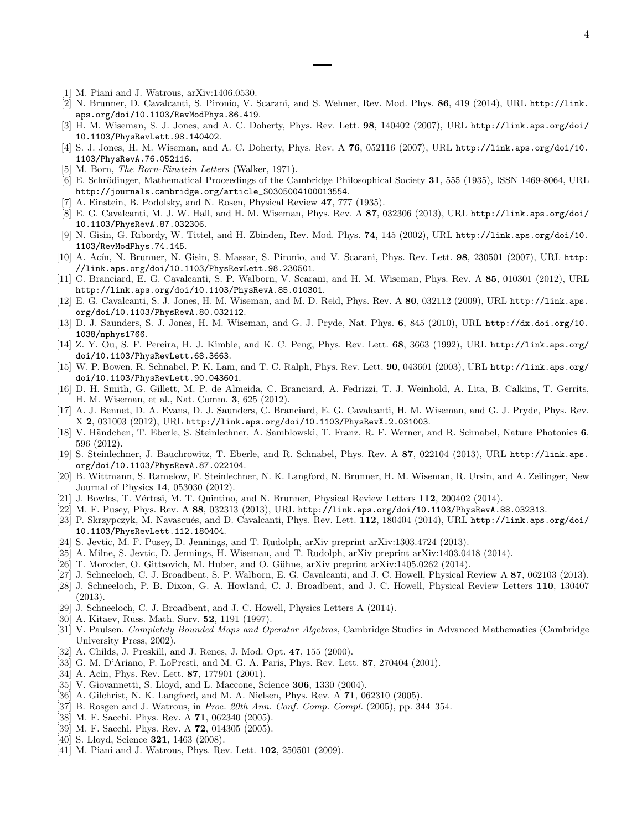- [1] M. Piani and J. Watrous, arXiv:1406.0530.
- [2] N. Brunner, D. Cavalcanti, S. Pironio, V. Scarani, and S. Wehner, Rev. Mod. Phys. 86, 419 (2014), URL http://link. aps.org/doi/10.1103/RevModPhys.86.419.
- [3] H. M. Wiseman, S. J. Jones, and A. C. Doherty, Phys. Rev. Lett. 98, 140402 (2007), URL http://link.aps.org/doi/ 10.1103/PhysRevLett.98.140402.
- [4] S. J. Jones, H. M. Wiseman, and A. C. Doherty, Phys. Rev. A 76, 052116 (2007), URL http://link.aps.org/doi/10. 1103/PhysRevA.76.052116.
- [5] M. Born, The Born-Einstein Letters (Walker, 1971).
- [6] E. Schrödinger, Mathematical Proceedings of the Cambridge Philosophical Society 31, 555 (1935), ISSN 1469-8064, URL http://journals.cambridge.org/article\_S0305004100013554.
- [7] A. Einstein, B. Podolsky, and N. Rosen, Physical Review 47, 777 (1935).
- [8] E. G. Cavalcanti, M. J. W. Hall, and H. M. Wiseman, Phys. Rev. A 87, 032306 (2013), URL http://link.aps.org/doi/ 10.1103/PhysRevA.87.032306.
- [9] N. Gisin, G. Ribordy, W. Tittel, and H. Zbinden, Rev. Mod. Phys. 74, 145 (2002), URL http://link.aps.org/doi/10. 1103/RevModPhys.74.145.
- [10] A. Acín, N. Brunner, N. Gisin, S. Massar, S. Pironio, and V. Scarani, Phys. Rev. Lett. 98, 230501 (2007), URL http: //link.aps.org/doi/10.1103/PhysRevLett.98.230501.
- [11] C. Branciard, E. G. Cavalcanti, S. P. Walborn, V. Scarani, and H. M. Wiseman, Phys. Rev. A 85, 010301 (2012), URL http://link.aps.org/doi/10.1103/PhysRevA.85.010301.
- [12] E. G. Cavalcanti, S. J. Jones, H. M. Wiseman, and M. D. Reid, Phys. Rev. A 80, 032112 (2009), URL http://link.aps. org/doi/10.1103/PhysRevA.80.032112.
- [13] D. J. Saunders, S. J. Jones, H. M. Wiseman, and G. J. Pryde, Nat. Phys. 6, 845 (2010), URL http://dx.doi.org/10. 1038/nphys1766.
- [14] Z. Y. Ou, S. F. Pereira, H. J. Kimble, and K. C. Peng, Phys. Rev. Lett. 68, 3663 (1992), URL http://link.aps.org/ doi/10.1103/PhysRevLett.68.3663.
- [15] W. P. Bowen, R. Schnabel, P. K. Lam, and T. C. Ralph, Phys. Rev. Lett. 90, 043601 (2003), URL http://link.aps.org/ doi/10.1103/PhysRevLett.90.043601.
- [16] D. H. Smith, G. Gillett, M. P. de Almeida, C. Branciard, A. Fedrizzi, T. J. Weinhold, A. Lita, B. Calkins, T. Gerrits, H. M. Wiseman, et al., Nat. Comm. 3, 625 (2012).
- [17] A. J. Bennet, D. A. Evans, D. J. Saunders, C. Branciard, E. G. Cavalcanti, H. M. Wiseman, and G. J. Pryde, Phys. Rev. X 2, 031003 (2012), URL http://link.aps.org/doi/10.1103/PhysRevX.2.031003.
- [18] V. Händchen, T. Eberle, S. Steinlechner, A. Samblowski, T. Franz, R. F. Werner, and R. Schnabel, Nature Photonics 6, 596 (2012).
- [19] S. Steinlechner, J. Bauchrowitz, T. Eberle, and R. Schnabel, Phys. Rev. A 87, 022104 (2013), URL http://link.aps. org/doi/10.1103/PhysRevA.87.022104.
- [20] B. Wittmann, S. Ramelow, F. Steinlechner, N. K. Langford, N. Brunner, H. M. Wiseman, R. Ursin, and A. Zeilinger, New Journal of Physics 14, 053030 (2012).
- [21] J. Bowles, T. Vértesi, M. T. Quintino, and N. Brunner, Physical Review Letters 112, 200402 (2014).
- [22] M. F. Pusey, Phys. Rev. A 88, 032313 (2013), URL http://link.aps.org/doi/10.1103/PhysRevA.88.032313.
- [23] P. Skrzypczyk, M. Navascués, and D. Cavalcanti, Phys. Rev. Lett.  $112$ , 180404 (2014), URL http://link.aps.org/doi/ 10.1103/PhysRevLett.112.180404.
- [24] S. Jevtic, M. F. Pusey, D. Jennings, and T. Rudolph, arXiv preprint arXiv:1303.4724 (2013).
- [25] A. Milne, S. Jevtic, D. Jennings, H. Wiseman, and T. Rudolph, arXiv preprint arXiv:1403.0418 (2014).
- [26] T. Moroder, O. Gittsovich, M. Huber, and O. Gühne, arXiv preprint arXiv:1405.0262 (2014).
- [27] J. Schneeloch, C. J. Broadbent, S. P. Walborn, E. G. Cavalcanti, and J. C. Howell, Physical Review A 87, 062103 (2013).
- [28] J. Schneeloch, P. B. Dixon, G. A. Howland, C. J. Broadbent, and J. C. Howell, Physical Review Letters 110, 130407 (2013).
- [29] J. Schneeloch, C. J. Broadbent, and J. C. Howell, Physics Letters A (2014).
- [30] A. Kitaev, Russ. Math. Surv. 52, 1191 (1997).
- [31] V. Paulsen, Completely Bounded Maps and Operator Algebras, Cambridge Studies in Advanced Mathematics (Cambridge University Press, 2002).
- [32] A. Childs, J. Preskill, and J. Renes, J. Mod. Opt. 47, 155 (2000).
- [33] G. M. D'Ariano, P. LoPresti, and M. G. A. Paris, Phys. Rev. Lett. 87, 270404 (2001).
- [34] A. Acin, Phys. Rev. Lett. **87**, 177901 (2001).
- [35] V. Giovannetti, S. Lloyd, and L. Maccone, Science **306**, 1330 (2004).
- [36] A. Gilchrist, N. K. Langford, and M. A. Nielsen, Phys. Rev. A 71, 062310 (2005).
- [37] B. Rosgen and J. Watrous, in Proc. 20th Ann. Conf. Comp. Compl. (2005), pp. 344–354.
- [38] M. F. Sacchi, Phys. Rev. A 71, 062340 (2005).
- [39] M. F. Sacchi, Phys. Rev. A 72, 014305 (2005).
- [40] S. Lloyd, Science 321, 1463 (2008).
- [41] M. Piani and J. Watrous, Phys. Rev. Lett. **102**, 250501 (2009).